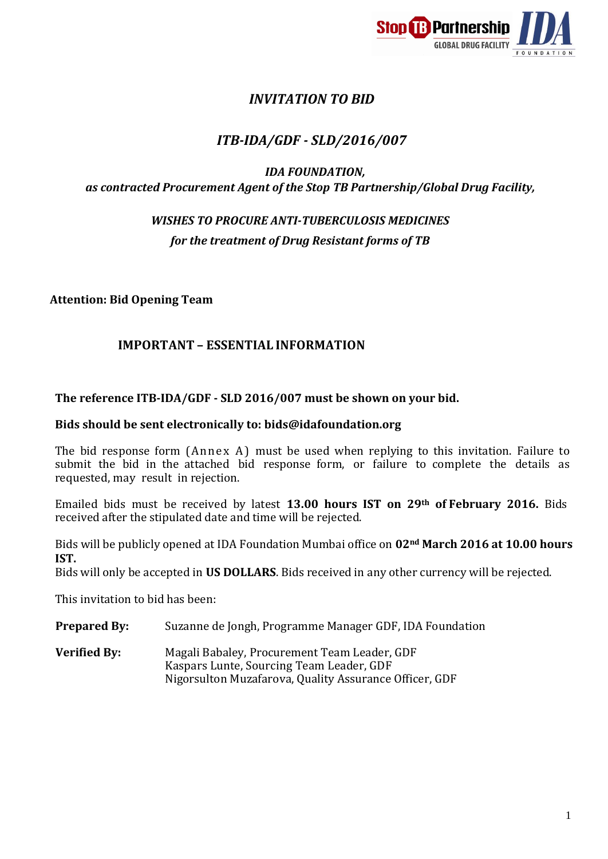

# *INVITATION TO BID*

# *ITB-IDA/GDF - SLD/2016/007*

### *IDA FOUNDATION, as contracted Procurement Agent of the Stop TB Partnership/Global Drug Facility,*

# *WISHES TO PROCURE ANTI-TUBERCULOSIS MEDICINES for the treatment of Drug Resistant forms of TB*

**Attention: Bid Opening Team**

### **IMPORTANT – ESSENTIAL INFORMATION**

### **The reference ITB-IDA/GDF - SLD 2016/007 must be shown on your bid.**

#### **Bids should be sent electronically to: [bids@idafoundation.org](mailto:bids@idafoundation.org)**

The bid response form (Annex A) must be used when replying to this invitation. Failure to submit the bid in the attached bid response form, or failure to complete the details as requested, may result in rejection.

Emailed bids must be received by latest **13.00 hours IST on 29th of February 2016.** Bids received after the stipulated date and time will be rejected.

Bids will be publicly opened at IDA Foundation Mumbai office on **02nd March 2016 at 10.00 hours IST.** 

Bids will only be accepted in **US DOLLARS**. Bids received in any other currency will be rejected.

This invitation to bid has been:

- **Prepared By:** Suzanne de Jongh, Programme Manager GDF, IDA Foundation
- **Verified By:** Magali Babaley, Procurement Team Leader, GDF Kaspars Lunte, Sourcing Team Leader, GDF Nigorsulton Muzafarova, Quality Assurance Officer, GDF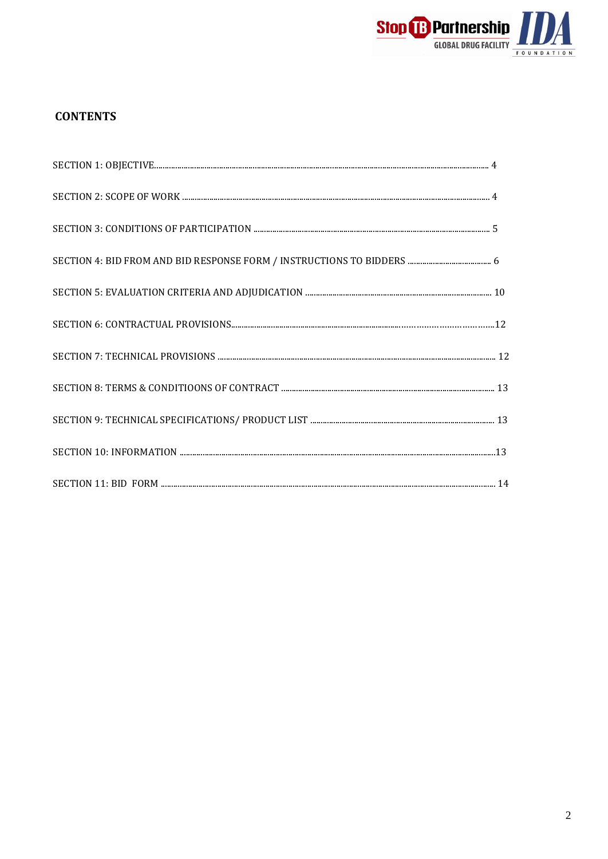

## **CONTENTS**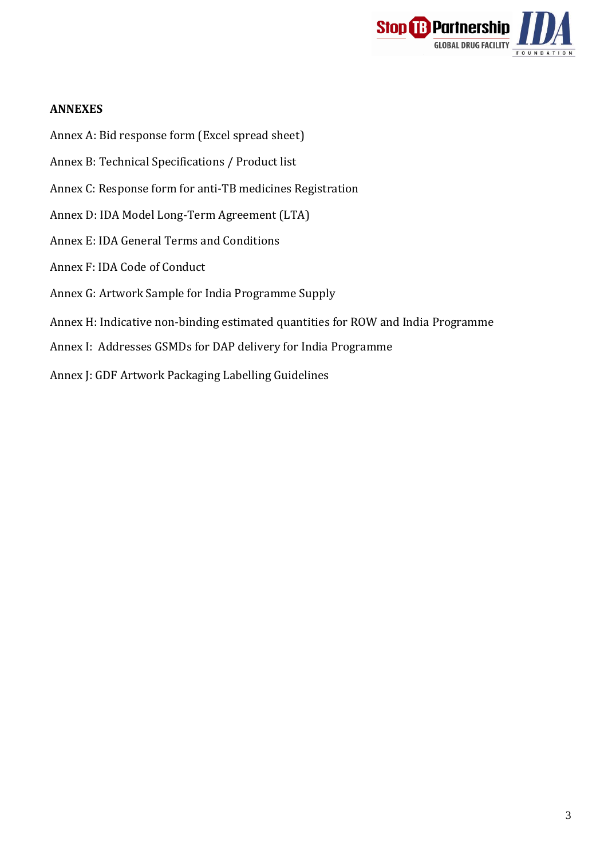

#### **ANNEXES**

- Annex A: Bid response form (Excel spread sheet)
- Annex B: Technical Specifications / Product list
- Annex C: Response form for anti-TB medicines Registration
- Annex D: IDA Model Long-Term Agreement (LTA)
- Annex E: IDA General Terms and Conditions
- Annex F: IDA Code of Conduct
- Annex G: Artwork Sample for India Programme Supply
- Annex H: Indicative non-binding estimated quantities for ROW and India Programme
- Annex I: Addresses GSMDs for DAP delivery for India Programme
- Annex J: GDF Artwork Packaging Labelling Guidelines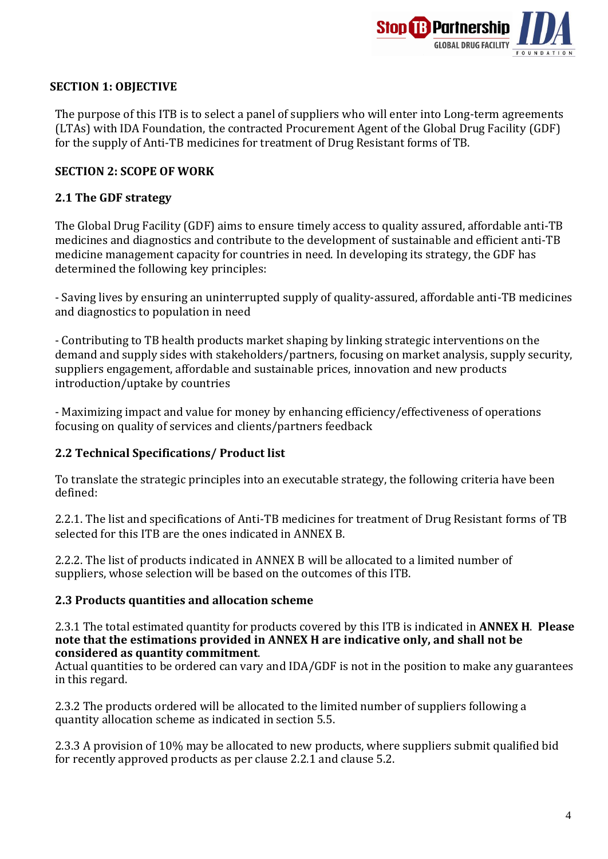

#### **SECTION 1: OBJECTIVE**

The purpose of this ITB is to select a panel of suppliers who will enter into Long-term agreements (LTAs) with IDA Foundation, the contracted Procurement Agent of the Global Drug Facility (GDF) for the supply of Anti-TB medicines for treatment of Drug Resistant forms of TB.

### **SECTION 2: SCOPE OF WORK**

### **2.1 The GDF strategy**

The Global Drug Facility (GDF) aims to ensure timely access to quality assured, affordable anti-TB medicines and diagnostics and contribute to the development of sustainable and efficient anti-TB medicine management capacity for countries in need. In developing its strategy, the GDF has determined the following key principles:

- Saving lives by ensuring an uninterrupted supply of quality-assured, affordable anti-TB medicines and diagnostics to population in need

- Contributing to TB health products market shaping by linking strategic interventions on the demand and supply sides with stakeholders/partners, focusing on market analysis, supply security, suppliers engagement, affordable and sustainable prices, innovation and new products introduction/uptake by countries

- Maximizing impact and value for money by enhancing efficiency/effectiveness of operations focusing on quality of services and clients/partners feedback

### **2.2 Technical Specifications/ Product list**

To translate the strategic principles into an executable strategy, the following criteria have been defined:

2.2.1. The list and specifications of Anti-TB medicines for treatment of Drug Resistant forms of TB selected for this ITB are the ones indicated in ANNEX B.

2.2.2. The list of products indicated in ANNEX B will be allocated to a limited number of suppliers, whose selection will be based on the outcomes of this ITB.

#### **2.3 Products quantities and allocation scheme**

2.3.1 The total estimated quantity for products covered by this ITB is indicated in **ANNEX H**. **Please note that the estimations provided in ANNEX H are indicative only, and shall not be considered as quantity commitment**.

Actual quantities to be ordered can vary and IDA/GDF is not in the position to make any guarantees in this regard.

2.3.2 The products ordered will be allocated to the limited number of suppliers following a quantity allocation scheme as indicated in section 5.5.

2.3.3 A provision of 10% may be allocated to new products, where suppliers submit qualified bid for recently approved products as per clause 2.2.1 and clause 5.2.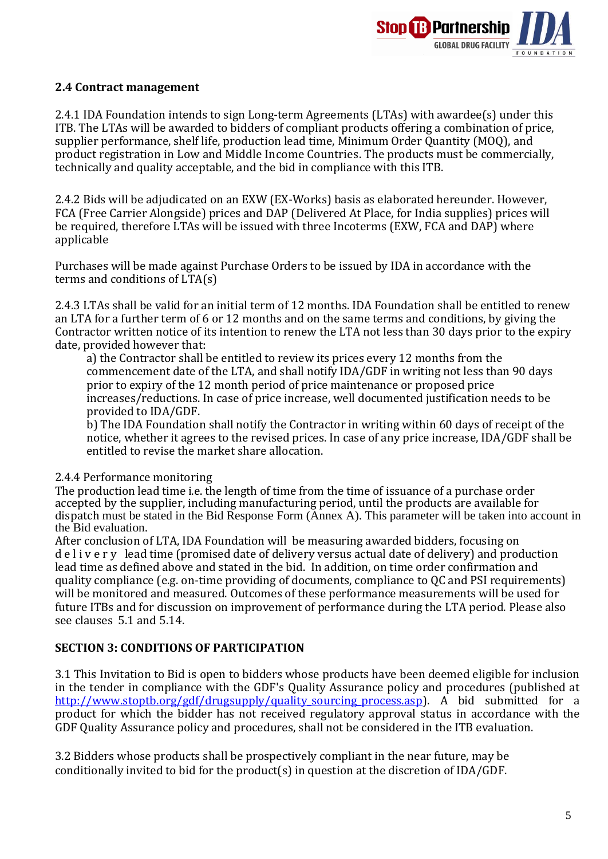

#### **2.4 Contract management**

2.4.1 IDA Foundation intends to sign Long-term Agreements (LTAs) with awardee(s) under this ITB. The LTAs will be awarded to bidders of compliant products offering a combination of price, supplier performance, shelf life, production lead time, Minimum Order Quantity (MOQ), and product registration in Low and Middle Income Countries. The products must be commercially, technically and quality acceptable, and the bid in compliance with this ITB.

2.4.2 Bids will be adjudicated on an EXW (EX-Works) basis as elaborated hereunder. However, FCA (Free Carrier Alongside) prices and DAP (Delivered At Place, for India supplies) prices will be required, therefore LTAs will be issued with three Incoterms (EXW, FCA and DAP) where applicable

Purchases will be made against Purchase Orders to be issued by IDA in accordance with the terms and conditions of LTA(s)

2.4.3 LTAs shall be valid for an initial term of 12 months. IDA Foundation shall be entitled to renew an LTA for a further term of 6 or 12 months and on the same terms and conditions, by giving the Contractor written notice of its intention to renew the LTA not less than 30 days prior to the expiry date, provided however that:

a) the Contractor shall be entitled to review its prices every 12 months from the commencement date of the LTA, and shall notify IDA/GDF in writing not less than 90 days prior to expiry of the 12 month period of price maintenance or proposed price increases/reductions. In case of price increase, well documented justification needs to be provided to IDA/GDF.

b) The IDA Foundation shall notify the Contractor in writing within 60 days of receipt of the notice, whether it agrees to the revised prices. In case of any price increase, IDA/GDF shall be entitled to revise the market share allocation.

#### 2.4.4 Performance monitoring

The production lead time i.e. the length of time from the time of issuance of a purchase order accepted by the supplier, including manufacturing period, until the products are available for dispatch must be stated in the Bid Response Form (Annex A). This parameter will be taken into account in the Bid evaluation.

After conclusion of LTA, IDA Foundation will be measuring awarded bidders, focusing on d e l i v e r y lead time (promised date of delivery versus actual date of delivery) and production lead time as defined above and stated in the bid. In addition, on time order confirmation and quality compliance (e.g. on-time providing of documents, compliance to QC and PSI requirements) will be monitored and measured. Outcomes of these performance measurements will be used for future ITBs and for discussion on improvement of performance during the LTA period. Please also see clauses 5.1 and 5.14.

### **SECTION 3: CONDITIONS OF PARTICIPATION**

3.1 This Invitation to Bid is open to bidders whose products have been deemed eligible for inclusion in the tender in compliance with the GDF's Quality Assurance policy and procedures (published at http://www.stoptb.org/gdf/drugsupply/quality sourcing process.asp). A bid submitted for a product for which the bidder has not received regulatory approval status in accordance with the GDF Quality Assurance policy and procedures, shall not be considered in the ITB evaluation.

3.2 Bidders whose products shall be prospectively compliant in the near future, may be conditionally invited to bid for the product(s) in question at the discretion of IDA/GDF.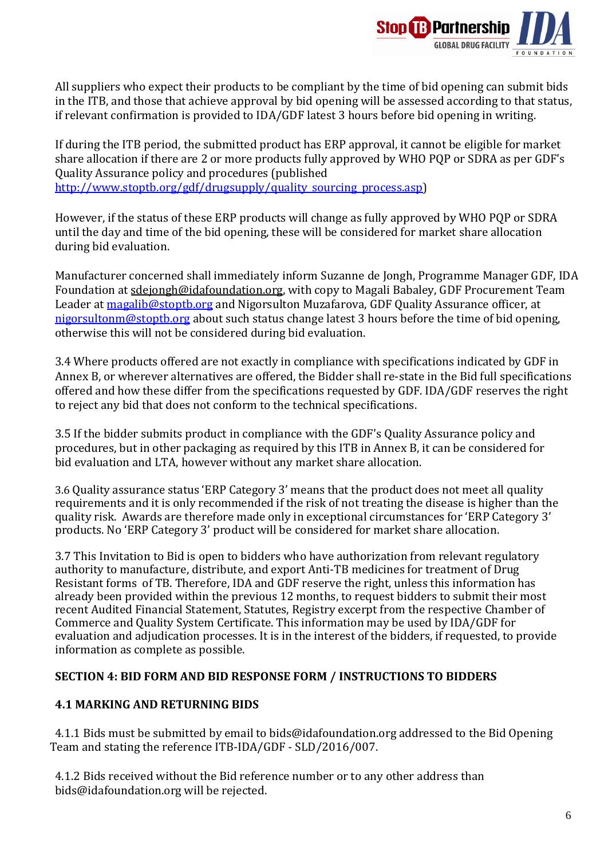

All suppliers who expect their products to be compliant by the time of bid opening can submit bids in the ITB, and those that achieve approval by bid opening will be assessed according to that status, if relevant confirmation is provided to IDA/GDF latest 3 hours before bid opening in writing.

If during the ITB period, the submitted product has ERP approval, it cannot be eligible for market share allocation if there are 2 or more products fully approved by WHO PQP or SDRA as per GDF's Quality Assurance policy and procedures (published [http://www.stoptb.org/gdf/drugsupply/quality\\_sourcing\\_process.asp\)](http://www.stoptb.org/gdf/drugsupply/quality_sourcing_process.asp)

However, if the status of these ERP products will change as fully approved by WHO PQP or SDRA until the day and time of the bid opening, these will be considered for market share allocation during bid evaluation.

Manufacturer concerned shall immediately inform Suzanne de Jongh, Programme Manager GDF, IDA Foundation [at sdejongh@idafoundation.org,](mailto:sdejongh@idafoundation.org) with copy to Magali Babaley, GDF Procurement Team Leader at [magalib@stoptb.org](mailto:magalib@stoptb.org) and Nigorsulton Muzafarova, GDF Quality Assurance officer, at [nigorsultonm@stoptb.org](mailto:nigorsultonm@stoptb.org) about such status change latest 3 hours before the time of bid opening, otherwise this will not be considered during bid evaluation.

3.4 Where products offered are not exactly in compliance with specifications indicated by GDF in Annex B, or wherever alternatives are offered, the Bidder shall re-state in the Bid full specifications offered and how these differ from the specifications requested by GDF. IDA/GDF reserves the right to reject any bid that does not conform to the technical specifications.

3.5 If the bidder submits product in compliance with the GDF's Quality Assurance policy and procedures, but in other packaging as required by this ITB in Annex B, it can be considered for bid evaluation and LTA, however without any market share allocation.

3.6 Quality assurance status 'ERP Category 3' means that the product does not meet all quality requirements and it is only recommended if the risk of not treating the disease is higher than the quality risk. Awards are therefore made only in exceptional circumstances for 'ERP Category 3' products. No 'ERP Category 3' product will be considered for market share allocation.

3.7 This Invitation to Bid is open to bidders who have authorization from relevant regulatory authority to manufacture, distribute, and export Anti-TB medicines for treatment of Drug Resistant forms of TB. Therefore, IDA and GDF reserve the right, unless this information has already been provided within the previous 12 months, to request bidders to submit their most recent Audited Financial Statement, Statutes, Registry excerpt from the respective Chamber of Commerce and Quality System Certificate. This information may be used by IDA/GDF for evaluation and adjudication processes. It is in the interest of the bidders, if requested, to provide information as complete as possible.

### **SECTION 4: BID FORM AND BID RESPONSE FORM / INSTRUCTIONS TO BIDDERS**

#### **4.1 MARKING AND RETURNING BIDS**

4.1.1 Bids must be submitted by email [to bids@idafoundation.org](mailto:bids@idafoundation.org) addressed to the Bid Opening Team and stating the reference ITB-IDA/GDF - SLD/2016/007.

4.1.2 Bids received without the Bid reference number or to any other address tha[n](mailto:bids@idafoundation.org) [bids@idafoundation.org](mailto:bids@idafoundation.org) will be rejected.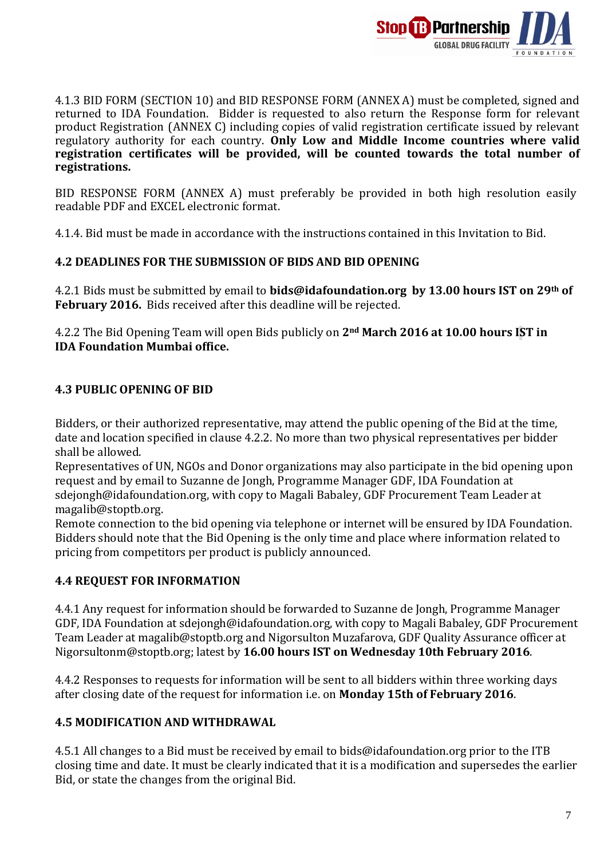

4.1.3 BID FORM (SECTION 10) and BID RESPONSE FORM (ANNEX A) must be completed, signed and returned to IDA Foundation. Bidder is requested to also return the Response form for relevant product Registration (ANNEX C) including copies of valid registration certificate issued by relevant regulatory authority for each country. **Only Low and Middle Income countries where valid registration certificates will be provided, will be counted towards the total number of registrations.**

BID RESPONSE FORM (ANNEX A) must preferably be provided in both high resolution easily readable PDF and EXCEL electronic format.

4.1.4. Bid must be made in accordance with the instructions contained in this Invitation to Bid.

### **4.2 DEADLINES FOR THE SUBMISSION OF BIDS AND BID OPENING**

4.2.1 Bids must be submitted by email to **[bids@idafoundation.org](mailto:bids@idafoundation.org) by 13.00 hours IST on 29th of February 2016.** Bids received after this deadline will be rejected.

4.2.2 The Bid Opening Team will open Bids publicly on **2nd March 2016 at 10.00 hours IST in IDA Foundation Mumbai office.**

### **4.3 PUBLIC OPENING OF BID**

Bidders, or their authorized representative, may attend the public opening of the Bid at the time, date and location specified in clause 4.2.2. No more than two physical representatives per bidder shall be allowed.

Representatives of UN, NGOs and Donor organizations may also participate in the bid opening upon request and by email to Suzanne de Jongh, Programme Manager GDF, IDA Foundation at sdejongh@idafoundation.org, with copy to Magali Babaley, GDF Procurement Team Leader at magalib@stoptb.org.

Remote connection to the bid opening via telephone or internet will be ensured by IDA Foundation. Bidders should note that the Bid Opening is the only time and place where information related to pricing from competitors per product is publicly announced.

### **4.4 REQUEST FOR INFORMATION**

4.4.1 Any request for information should be forwarded to Suzanne de Jongh, Programme Manager GDF, IDA Foundation at [sdejongh@idafoundation.org,](mailto:sdejongh@idafoundation.org) with copy to Magali Babaley, GDF Procurement Team Leader at magalib@stoptb.org and Nigorsulton Muzafarova, GDF Quality Assurance officer at Nigorsulton[m@stoptb.org;](mailto:JonL@stoptb.org) latest by **16.00 hours IST on Wednesday 10th February 2016**.

4.4.2 Responses to requests for information will be sent to all bidders within three working days after closing date of the request for information i.e. on **Monday 15th of February 2016**.

### **4.5 MODIFICATION AND WITHDRAWAL**

4.5.1 All changes to a Bid must be received by email to [bids@idafoundation.org](mailto:bids@idafoundation.org) prior to the ITB closing time and date. It must be clearly indicated that it is a modification and supersedes the earlier Bid, or state the changes from the original Bid.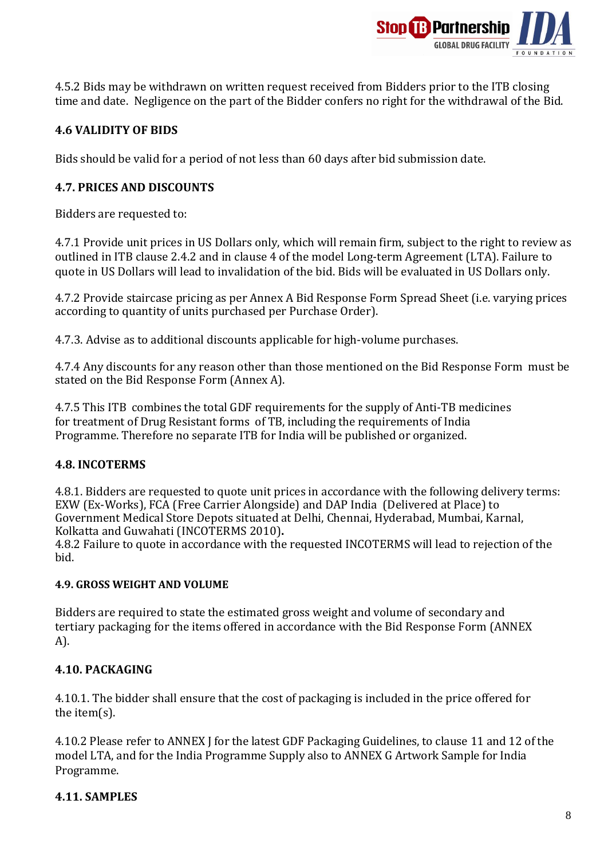

4.5.2 Bids may be withdrawn on written request received from Bidders prior to the ITB closing time and date. Negligence on the part of the Bidder confers no right for the withdrawal of the Bid.

### **4.6 VALIDITY OF BIDS**

Bids should be valid for a period of not less than 60 days after bid submission date.

### **4.7. PRICES AND DISCOUNTS**

Bidders are requested to:

4.7.1 Provide unit prices in US Dollars only, which will remain firm, subject to the right to review as outlined in ITB clause 2.4.2 and in clause 4 of the model Long-term Agreement (LTA). Failure to quote in US Dollars will lead to invalidation of the bid. Bids will be evaluated in US Dollars only.

4.7.2 Provide staircase pricing as per Annex A Bid Response Form Spread Sheet (i.e. varying prices according to quantity of units purchased per Purchase Order).

4.7.3. Advise as to additional discounts applicable for high-volume purchases.

4.7.4 Any discounts for any reason other than those mentioned on the Bid Response Form must be stated on the Bid Response Form (Annex A).

4.7.5 This ITB combines the total GDF requirements for the supply of Anti-TB medicines for treatment of Drug Resistant forms of TB, including the requirements of India Programme. Therefore no separate ITB for India will be published or organized.

#### **4.8. INCOTERMS**

4.8.1. Bidders are requested to quote unit prices in accordance with the following delivery terms: EXW (Ex-Works), FCA (Free Carrier Alongside) and DAP India (Delivered at Place) to Government Medical Store Depots situated at Delhi, Chennai, Hyderabad, Mumbai, Karnal, Kolkatta and Guwahati (INCOTERMS 2010)**.**

4.8.2 Failure to quote in accordance with the requested INCOTERMS will lead to rejection of the bid.

#### **4.9. GROSS WEIGHT AND VOLUME**

Bidders are required to state the estimated gross weight and volume of secondary and tertiary packaging for the items offered in accordance with the Bid Response Form (ANNEX A).

#### **4.10. PACKAGING**

4.10.1. The bidder shall ensure that the cost of packaging is included in the price offered for the item(s).

4.10.2 Please refer to ANNEX J for the latest GDF Packaging Guidelines, to clause 11 and 12 of the model LTA, and for the India Programme Supply also to ANNEX G Artwork Sample for India Programme.

#### **4.11. SAMPLES**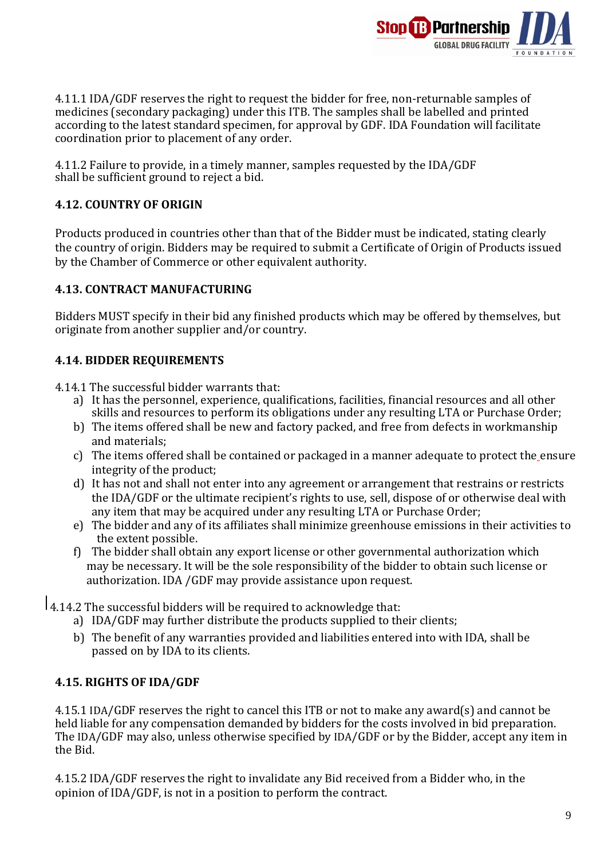

4.11.1 IDA/GDF reserves the right to request the bidder for free, non-returnable samples of medicines (secondary packaging) under this ITB. The samples shall be labelled and printed according to the latest standard specimen, for approval by GDF. IDA Foundation will facilitate coordination prior to placement of any order.

4.11.2 Failure to provide, in a timely manner, samples requested by the IDA/GDF shall be sufficient ground to reject a bid.

### **4.12. COUNTRY OF ORIGIN**

Products produced in countries other than that of the Bidder must be indicated, stating clearly the country of origin. Bidders may be required to submit a Certificate of Origin of Products issued by the Chamber of Commerce or other equivalent authority.

### **4.13. CONTRACT MANUFACTURING**

Bidders MUST specify in their bid any finished products which may be offered by themselves, but originate from another supplier and/or country.

### **4.14. BIDDER REQUIREMENTS**

4.14.1 The successful bidder warrants that:

- a) It has the personnel, experience, qualifications, facilities, financial resources and all other skills and resources to perform its obligations under any resulting LTA or Purchase Order;
- b) The items offered shall be new and factory packed, and free from defects in workmanship and materials;
- c) The items offered shall be contained or packaged in a manner adequate to protect the ensure integrity of the product;
- d) It has not and shall not enter into any agreement or arrangement that restrains or restricts the IDA/GDF or the ultimate recipient's rights to use, sell, dispose of or otherwise deal with any item that may be acquired under any resulting LTA or Purchase Order;
- e) The bidder and any of its affiliates shall minimize greenhouse emissions in their activities to the extent possible.
- f) The bidder shall obtain any export license or other governmental authorization which may be necessary. It will be the sole responsibility of the bidder to obtain such license or authorization. IDA /GDF may provide assistance upon request.
- 4.14.2 The successful bidders will be required to acknowledge that:
	- a) IDA/GDF may further distribute the products supplied to their clients;
	- b) The benefit of any warranties provided and liabilities entered into with IDA, shall be passed on by IDA to its clients.

#### **4.15. RIGHTS OF IDA/GDF**

4.15.1 IDA/GDF reserves the right to cancel this ITB or not to make any award(s) and cannot be held liable for any compensation demanded by bidders for the costs involved in bid preparation. The IDA/GDF may also, unless otherwise specified by IDA/GDF or by the Bidder, accept any item in the Bid.

4.15.2 IDA/GDF reserves the right to invalidate any Bid received from a Bidder who, in the opinion of IDA/GDF, is not in a position to perform the contract.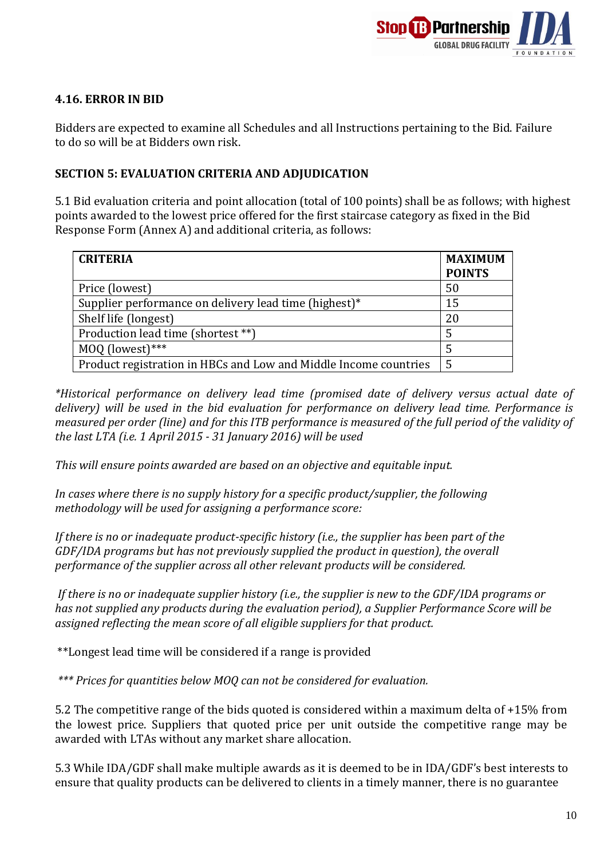

### **4.16. ERROR IN BID**

Bidders are expected to examine all Schedules and all Instructions pertaining to the Bid. Failure to do so will be at Bidders own risk.

### **SECTION 5: EVALUATION CRITERIA AND ADJUDICATION**

5.1 Bid evaluation criteria and point allocation (total of 100 points) shall be as follows; with highest points awarded to the lowest price offered for the first staircase category as fixed in the Bid Response Form (Annex A) and additional criteria, as follows:

| <b>CRITERIA</b>                                                  | <b>MAXIMUM</b><br><b>POINTS</b> |
|------------------------------------------------------------------|---------------------------------|
| Price (lowest)                                                   | 50                              |
| Supplier performance on delivery lead time (highest)*            | 15                              |
| Shelf life (longest)                                             | 20                              |
| Production lead time (shortest **)                               |                                 |
| MOQ (lowest)***                                                  |                                 |
| Product registration in HBCs and Low and Middle Income countries | 5                               |

(most) *\*Historical performance on delivery lead time (promised date of delivery versus actual date of delivery) will be used in the bid evaluation for performance on delivery lead time. Performance is measured per order (line) and for this ITB performance is measured of the full period of the validity of the last LTA (i.e. 1 April 2015 - 31 January 2016) will be used*

*This will ensure points awarded are based on an objective and equitable input.*

*In cases where there is no supply history for a specific product/supplier, the following methodology will be used for assigning a performance score:*

*If there is no or inadequate product-specific history (i.e., the supplier has been part of the GDF/IDA programs but has not previously supplied the product in question), the overall performance of the supplier across all other relevant products will be considered.*

*If there is no or inadequate supplier history (i.e., the supplier is new to the GDF/IDA programs or has not supplied any products during the evaluation period), a Supplier Performance Score will be assigned reflecting the mean score of all eligible suppliers for that product.*

\*\*Longest lead time will be considered if a range is provided

*\*\*\* Prices for quantities below MOQ can not be considered for evaluation.*

5.2 The competitive range of the bids quoted is considered within a maximum delta of +15% from the lowest price. Suppliers that quoted price per unit outside the competitive range may be awarded with LTAs without any market share allocation.

5.3 While IDA/GDF shall make multiple awards as it is deemed to be in IDA/GDF's best interests to ensure that quality products can be delivered to clients in a timely manner, there is no guarantee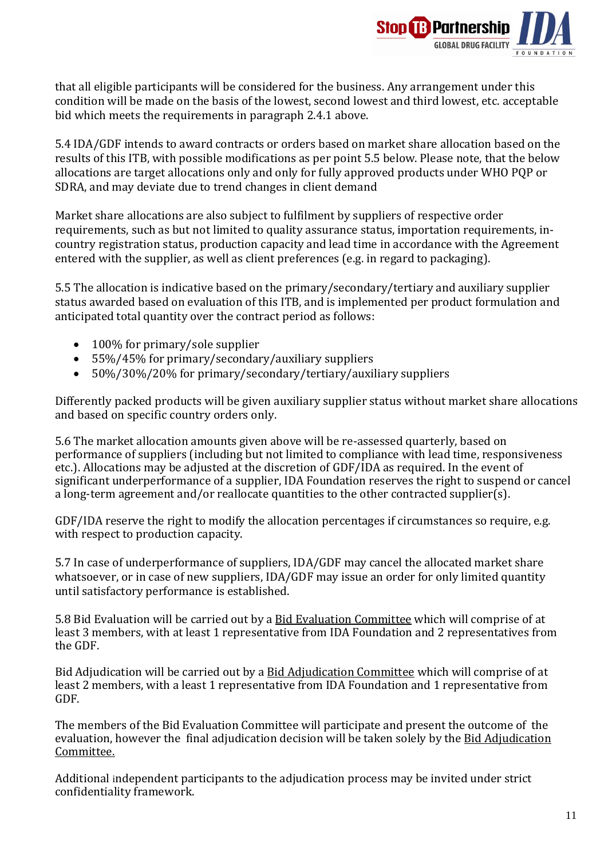

that all eligible participants will be considered for the business. Any arrangement under this condition will be made on the basis of the lowest, second lowest and third lowest, etc. acceptable bid which meets the requirements in paragraph 2.4.1 above.

5.4 IDA/GDF intends to award contracts or orders based on market share allocation based on the results of this ITB, with possible modifications as per point 5.5 below. Please note, that the below allocations are target allocations only and only for fully approved products under WHO PQP or SDRA, and may deviate due to trend changes in client demand

Market share allocations are also subject to fulfilment by suppliers of respective order requirements, such as but not limited to quality assurance status, importation requirements, incountry registration status, production capacity and lead time in accordance with the Agreement entered with the supplier, as well as client preferences (e.g. in regard to packaging).

5.5 The allocation is indicative based on the primary/secondary/tertiary and auxiliary supplier status awarded based on evaluation of this ITB, and is implemented per product formulation and anticipated total quantity over the contract period as follows:

- 100% for primary/sole supplier
- 55%/45% for primary/secondary/auxiliary suppliers
- 50%/30%/20% for primary/secondary/tertiary/auxiliary suppliers

Differently packed products will be given auxiliary supplier status without market share allocations and based on specific country orders only.

5.6 The market allocation amounts given above will be re-assessed quarterly, based on performance of suppliers (including but not limited to compliance with lead time, responsiveness etc.). Allocations may be adjusted at the discretion of GDF/IDA as required. In the event of significant underperformance of a supplier, IDA Foundation reserves the right to suspend or cancel a long-term agreement and/or reallocate quantities to the other contracted supplier(s).

GDF/IDA reserve the right to modify the allocation percentages if circumstances so require, e.g. with respect to production capacity.

5.7 In case of underperformance of suppliers, IDA/GDF may cancel the allocated market share whatsoever, or in case of new suppliers, IDA/GDF may issue an order for only limited quantity until satisfactory performance is established.

5.8 Bid Evaluation will be carried out by a Bid Evaluation Committee which will comprise of at least 3 members, with at least 1 representative from IDA Foundation and 2 representatives from the GDF.

Bid Adjudication will be carried out by a Bid Adjudication Committee which will comprise of at least 2 members, with a least 1 representative from IDA Foundation and 1 representative from GDF.

The members of the Bid Evaluation Committee will participate and present the outcome of the evaluation, however the final adjudication decision will be taken solely by the Bid Adjudication Committee.

Additional independent participants to the adjudication process may be invited under strict confidentiality framework.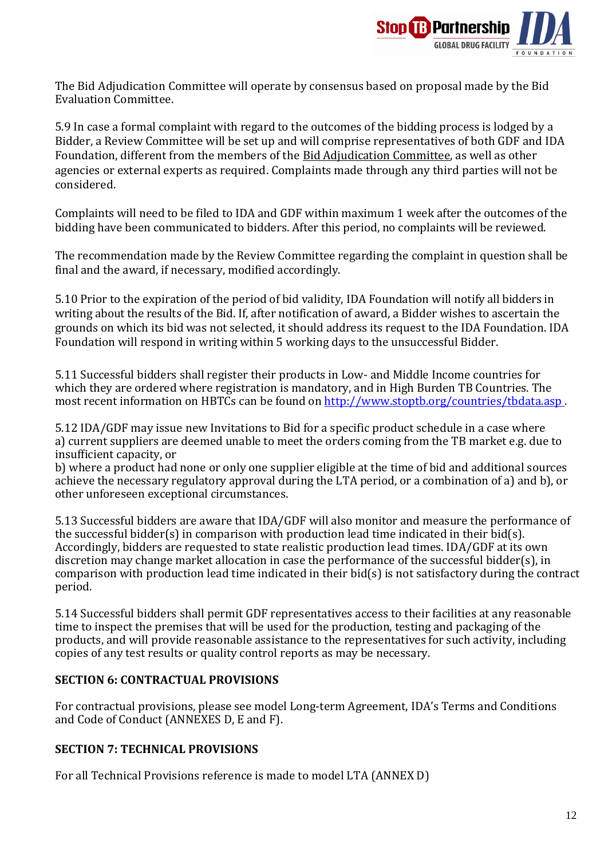

The Bid Adjudication Committee will operate by consensus based on proposal made by the Bid Evaluation Committee.

5.9 In case a formal complaint with regard to the outcomes of the bidding process is lodged by a Bidder, a Review Committee will be set up and will comprise representatives of both GDF and IDA Foundation, different from the members of the Bid Adjudication Committee, as well as other agencies or external experts as required. Complaints made through any third parties will not be considered.

Complaints will need to be filed to IDA and GDF within maximum 1 week after the outcomes of the bidding have been communicated to bidders. After this period, no complaints will be reviewed.

The recommendation made by the Review Committee regarding the complaint in question shall be final and the award, if necessary, modified accordingly.

5.10 Prior to the expiration of the period of bid validity, IDA Foundation will notify all bidders in writing about the results of the Bid. If, after notification of award, a Bidder wishes to ascertain the grounds on which its bid was not selected, it should address its request to the IDA Foundation. IDA Foundation will respond in writing within 5 working days to the unsuccessful Bidder.

5.11 Successful bidders shall register their products in Low- and Middle Income countries for which they are ordered where registration is mandatory, and in High Burden TB Countries. The most recent information on HBTCs can be found on<http://www.stoptb.org/countries/tbdata.asp>.

5.12 IDA/GDF may issue new Invitations to Bid for a specific product schedule in a case where a) current suppliers are deemed unable to meet the orders coming from the TB market e.g. due to insufficient capacity, or

b) where a product had none or only one supplier eligible at the time of bid and additional sources achieve the necessary regulatory approval during the LTA period, or a combination of a) and b), or other unforeseen exceptional circumstances.

5.13 Successful bidders are aware that IDA/GDF will also monitor and measure the performance of the successful bidder(s) in comparison with production lead time indicated in their bid(s). Accordingly, bidders are requested to state realistic production lead times. IDA/GDF at its own discretion may change market allocation in case the performance of the successful bidder(s), in comparison with production lead time indicated in their bid(s) is not satisfactory during the contract period.

5.14 Successful bidders shall permit GDF representatives access to their facilities at any reasonable time to inspect the premises that will be used for the production, testing and packaging of the products, and will provide reasonable assistance to the representatives for such activity, including copies of any test results or quality control reports as may be necessary.

#### **SECTION 6: CONTRACTUAL PROVISIONS**

For contractual provisions, please see model Long-term Agreement, IDA's Terms and Conditions and Code of Conduct (ANNEXES D, E and F).

### **SECTION 7: TECHNICAL PROVISIONS**

For all Technical Provisions reference is made to model LTA (ANNEX D)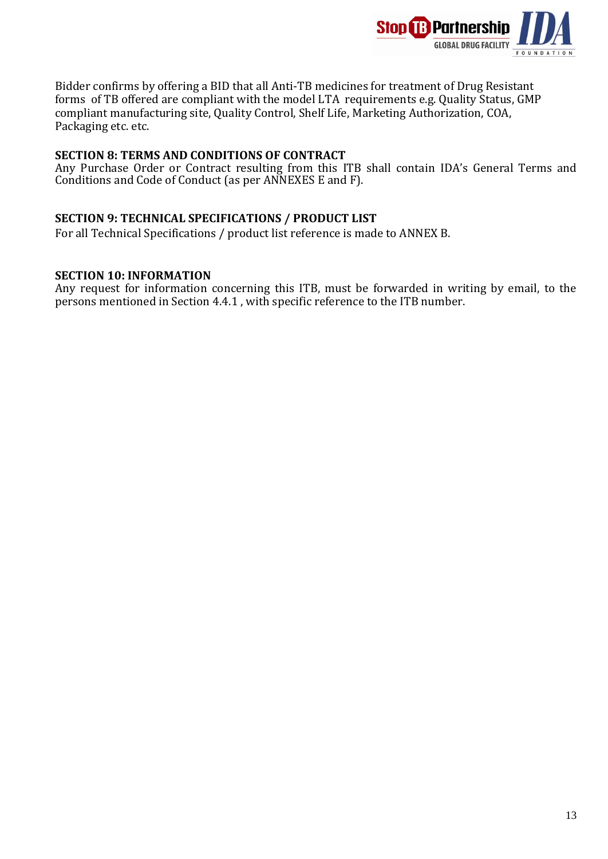

Bidder confirms by offering a BID that all Anti-TB medicines for treatment of Drug Resistant forms of TB offered are compliant with the model LTA requirements e.g. Quality Status, GMP compliant manufacturing site, Quality Control, Shelf Life, Marketing Authorization, COA, Packaging etc. etc.

#### **SECTION 8: TERMS AND CONDITIONS OF CONTRACT**

Any Purchase Order or Contract resulting from this ITB shall contain IDA's General Terms and Conditions and Code of Conduct (as per ANNEXES E and F).

#### **SECTION 9: TECHNICAL SPECIFICATIONS / PRODUCT LIST**

For all Technical Specifications / product list reference is made to ANNEX B.

#### **SECTION 10: INFORMATION**

Any request for information concerning this ITB, must be forwarded in writing by email, to the persons mentioned in Section 4.4.1 , with specific reference to the ITB number.